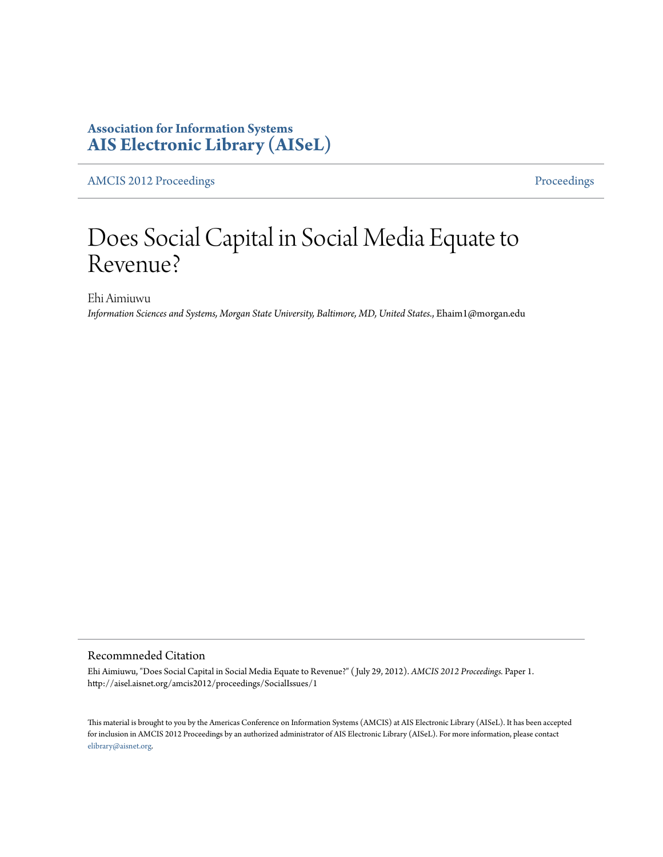### **Association for Information Systems [AIS Electronic Library \(AISeL\)](http://aisel.aisnet.org)**

[AMCIS 2012 Proceedings](http://aisel.aisnet.org/amcis2012) [Proceedings](http://aisel.aisnet.org/amcis2012/proceedings)

# Does Social Capital in Social Media Equate to Revenue?

Ehi Aimiuwu

*Information Sciences and Systems, Morgan State University, Baltimore, MD, United States.*, Ehaim1@morgan.edu

#### Recommneded Citation

Ehi Aimiuwu, "Does Social Capital in Social Media Equate to Revenue?" ( July 29, 2012). *AMCIS 2012 Proceedings.* Paper 1. http://aisel.aisnet.org/amcis2012/proceedings/SocialIssues/1

This material is brought to you by the Americas Conference on Information Systems (AMCIS) at AIS Electronic Library (AISeL). It has been accepted for inclusion in AMCIS 2012 Proceedings by an authorized administrator of AIS Electronic Library (AISeL). For more information, please contact [elibrary@aisnet.org.](mailto:elibrary@aisnet.org>)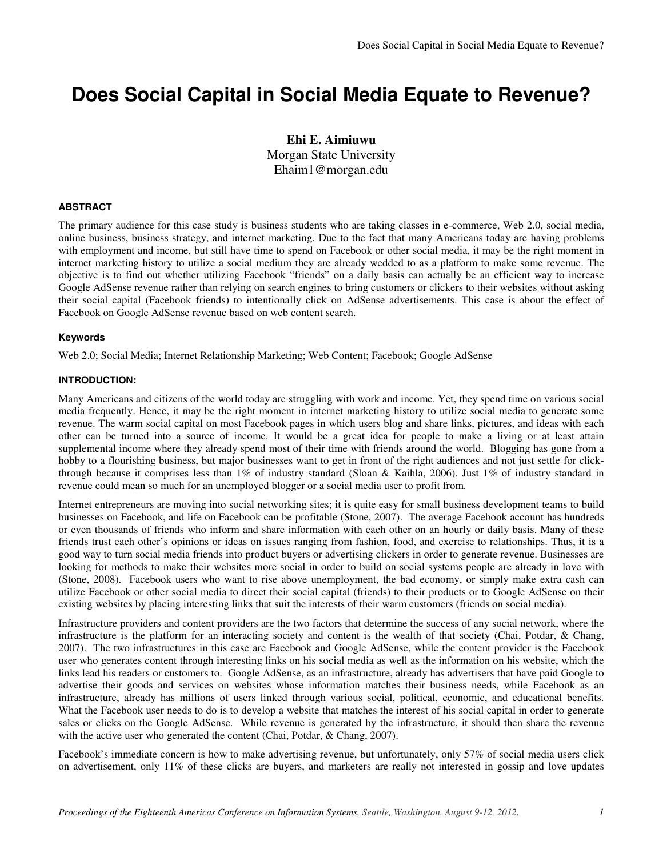### **Does Social Capital in Social Media Equate to Revenue?**

**Ehi E. Aimiuwu** Morgan State University Ehaim1@morgan.edu

#### **ABSTRACT**

The primary audience for this case study is business students who are taking classes in e-commerce, Web 2.0, social media, online business, business strategy, and internet marketing. Due to the fact that many Americans today are having problems with employment and income, but still have time to spend on Facebook or other social media, it may be the right moment in internet marketing history to utilize a social medium they are already wedded to as a platform to make some revenue. The objective is to find out whether utilizing Facebook "friends" on a daily basis can actually be an efficient way to increase Google AdSense revenue rather than relying on search engines to bring customers or clickers to their websites without asking their social capital (Facebook friends) to intentionally click on AdSense advertisements. This case is about the effect of Facebook on Google AdSense revenue based on web content search.

#### **Keywords**

Web 2.0; Social Media; Internet Relationship Marketing; Web Content; Facebook; Google AdSense

#### **INTRODUCTION:**

Many Americans and citizens of the world today are struggling with work and income. Yet, they spend time on various social media frequently. Hence, it may be the right moment in internet marketing history to utilize social media to generate some revenue. The warm social capital on most Facebook pages in which users blog and share links, pictures, and ideas with each other can be turned into a source of income. It would be a great idea for people to make a living or at least attain supplemental income where they already spend most of their time with friends around the world. Blogging has gone from a hobby to a flourishing business, but major businesses want to get in front of the right audiences and not just settle for clickthrough because it comprises less than 1% of industry standard (Sloan & Kaihla, 2006). Just 1% of industry standard in revenue could mean so much for an unemployed blogger or a social media user to profit from.

Internet entrepreneurs are moving into social networking sites; it is quite easy for small business development teams to build businesses on Facebook, and life on Facebook can be profitable (Stone, 2007). The average Facebook account has hundreds or even thousands of friends who inform and share information with each other on an hourly or daily basis. Many of these friends trust each other's opinions or ideas on issues ranging from fashion, food, and exercise to relationships. Thus, it is a good way to turn social media friends into product buyers or advertising clickers in order to generate revenue. Businesses are looking for methods to make their websites more social in order to build on social systems people are already in love with (Stone, 2008). Facebook users who want to rise above unemployment, the bad economy, or simply make extra cash can utilize Facebook or other social media to direct their social capital (friends) to their products or to Google AdSense on their existing websites by placing interesting links that suit the interests of their warm customers (friends on social media).

Infrastructure providers and content providers are the two factors that determine the success of any social network, where the infrastructure is the platform for an interacting society and content is the wealth of that society (Chai, Potdar, & Chang, 2007). The two infrastructures in this case are Facebook and Google AdSense, while the content provider is the Facebook user who generates content through interesting links on his social media as well as the information on his website, which the links lead his readers or customers to. Google AdSense, as an infrastructure, already has advertisers that have paid Google to advertise their goods and services on websites whose information matches their business needs, while Facebook as an infrastructure, already has millions of users linked through various social, political, economic, and educational benefits. What the Facebook user needs to do is to develop a website that matches the interest of his social capital in order to generate sales or clicks on the Google AdSense. While revenue is generated by the infrastructure, it should then share the revenue with the active user who generated the content (Chai, Potdar, & Chang, 2007).

Facebook's immediate concern is how to make advertising revenue, but unfortunately, only 57% of social media users click on advertisement, only 11% of these clicks are buyers, and marketers are really not interested in gossip and love updates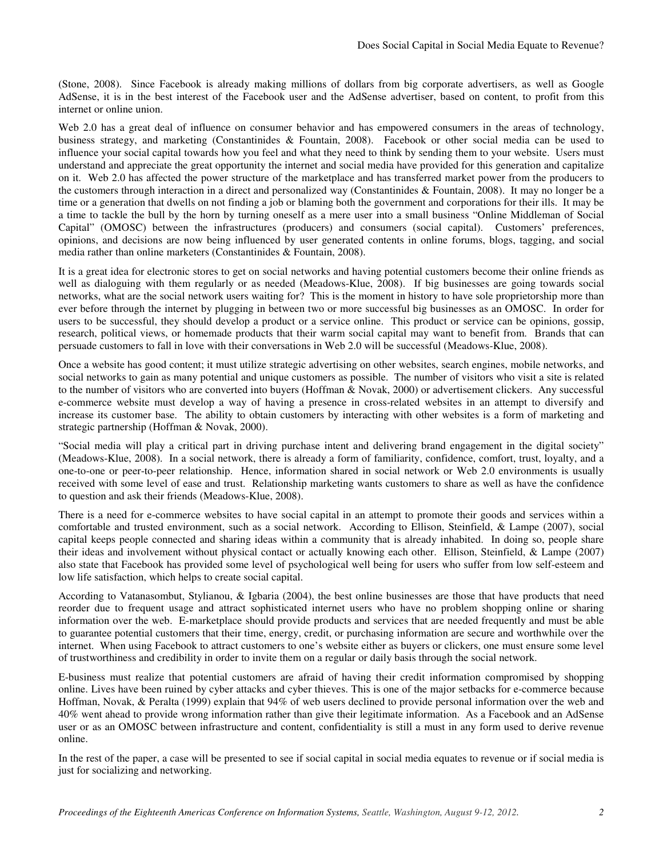(Stone, 2008). Since Facebook is already making millions of dollars from big corporate advertisers, as well as Google AdSense, it is in the best interest of the Facebook user and the AdSense advertiser, based on content, to profit from this internet or online union.

Web 2.0 has a great deal of influence on consumer behavior and has empowered consumers in the areas of technology, business strategy, and marketing (Constantinides & Fountain, 2008). Facebook or other social media can be used to influence your social capital towards how you feel and what they need to think by sending them to your website. Users must understand and appreciate the great opportunity the internet and social media have provided for this generation and capitalize on it. Web 2.0 has affected the power structure of the marketplace and has transferred market power from the producers to the customers through interaction in a direct and personalized way (Constantinides & Fountain, 2008). It may no longer be a time or a generation that dwells on not finding a job or blaming both the government and corporations for their ills. It may be a time to tackle the bull by the horn by turning oneself as a mere user into a small business "Online Middleman of Social Capital" (OMOSC) between the infrastructures (producers) and consumers (social capital). Customers' preferences, opinions, and decisions are now being influenced by user generated contents in online forums, blogs, tagging, and social media rather than online marketers (Constantinides & Fountain, 2008).

It is a great idea for electronic stores to get on social networks and having potential customers become their online friends as well as dialoguing with them regularly or as needed (Meadows-Klue, 2008). If big businesses are going towards social networks, what are the social network users waiting for? This is the moment in history to have sole proprietorship more than ever before through the internet by plugging in between two or more successful big businesses as an OMOSC. In order for users to be successful, they should develop a product or a service online. This product or service can be opinions, gossip, research, political views, or homemade products that their warm social capital may want to benefit from. Brands that can persuade customers to fall in love with their conversations in Web 2.0 will be successful (Meadows-Klue, 2008).

Once a website has good content; it must utilize strategic advertising on other websites, search engines, mobile networks, and social networks to gain as many potential and unique customers as possible. The number of visitors who visit a site is related to the number of visitors who are converted into buyers (Hoffman & Novak, 2000) or advertisement clickers. Any successful e-commerce website must develop a way of having a presence in cross-related websites in an attempt to diversify and increase its customer base. The ability to obtain customers by interacting with other websites is a form of marketing and strategic partnership (Hoffman & Novak, 2000).

"Social media will play a critical part in driving purchase intent and delivering brand engagement in the digital society" (Meadows-Klue, 2008). In a social network, there is already a form of familiarity, confidence, comfort, trust, loyalty, and a one-to-one or peer-to-peer relationship. Hence, information shared in social network or Web 2.0 environments is usually received with some level of ease and trust. Relationship marketing wants customers to share as well as have the confidence to question and ask their friends (Meadows-Klue, 2008).

There is a need for e-commerce websites to have social capital in an attempt to promote their goods and services within a comfortable and trusted environment, such as a social network. According to Ellison, Steinfield, & Lampe (2007), social capital keeps people connected and sharing ideas within a community that is already inhabited. In doing so, people share their ideas and involvement without physical contact or actually knowing each other. Ellison, Steinfield, & Lampe (2007) also state that Facebook has provided some level of psychological well being for users who suffer from low self-esteem and low life satisfaction, which helps to create social capital.

According to Vatanasombut, Stylianou, & Igbaria (2004), the best online businesses are those that have products that need reorder due to frequent usage and attract sophisticated internet users who have no problem shopping online or sharing information over the web. E-marketplace should provide products and services that are needed frequently and must be able to guarantee potential customers that their time, energy, credit, or purchasing information are secure and worthwhile over the internet. When using Facebook to attract customers to one's website either as buyers or clickers, one must ensure some level of trustworthiness and credibility in order to invite them on a regular or daily basis through the social network.

E-business must realize that potential customers are afraid of having their credit information compromised by shopping online. Lives have been ruined by cyber attacks and cyber thieves. This is one of the major setbacks for e-commerce because Hoffman, Novak, & Peralta (1999) explain that 94% of web users declined to provide personal information over the web and 40% went ahead to provide wrong information rather than give their legitimate information. As a Facebook and an AdSense user or as an OMOSC between infrastructure and content, confidentiality is still a must in any form used to derive revenue online.

In the rest of the paper, a case will be presented to see if social capital in social media equates to revenue or if social media is just for socializing and networking.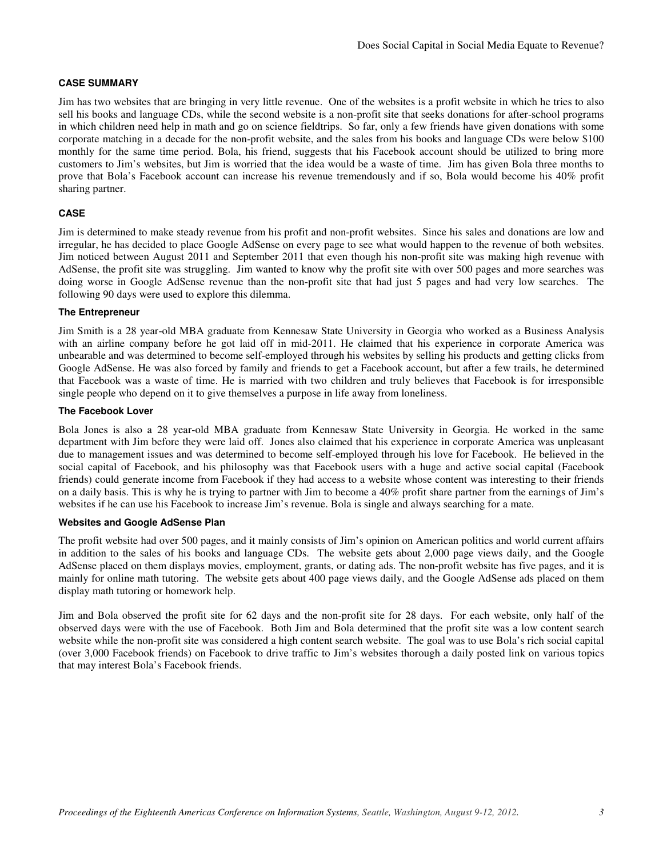#### **CASE SUMMARY**

Jim has two websites that are bringing in very little revenue. One of the websites is a profit website in which he tries to also sell his books and language CDs, while the second website is a non-profit site that seeks donations for after-school programs in which children need help in math and go on science fieldtrips. So far, only a few friends have given donations with some corporate matching in a decade for the non-profit website, and the sales from his books and language CDs were below \$100 monthly for the same time period. Bola, his friend, suggests that his Facebook account should be utilized to bring more customers to Jim's websites, but Jim is worried that the idea would be a waste of time. Jim has given Bola three months to prove that Bola's Facebook account can increase his revenue tremendously and if so, Bola would become his 40% profit sharing partner.

#### **CASE**

Jim is determined to make steady revenue from his profit and non-profit websites. Since his sales and donations are low and irregular, he has decided to place Google AdSense on every page to see what would happen to the revenue of both websites. Jim noticed between August 2011 and September 2011 that even though his non-profit site was making high revenue with AdSense, the profit site was struggling. Jim wanted to know why the profit site with over 500 pages and more searches was doing worse in Google AdSense revenue than the non-profit site that had just 5 pages and had very low searches. The following 90 days were used to explore this dilemma.

#### **The Entrepreneur**

Jim Smith is a 28 year-old MBA graduate from Kennesaw State University in Georgia who worked as a Business Analysis with an airline company before he got laid off in mid-2011. He claimed that his experience in corporate America was unbearable and was determined to become self-employed through his websites by selling his products and getting clicks from Google AdSense. He was also forced by family and friends to get a Facebook account, but after a few trails, he determined that Facebook was a waste of time. He is married with two children and truly believes that Facebook is for irresponsible single people who depend on it to give themselves a purpose in life away from loneliness.

#### **The Facebook Lover**

Bola Jones is also a 28 year-old MBA graduate from Kennesaw State University in Georgia. He worked in the same department with Jim before they were laid off. Jones also claimed that his experience in corporate America was unpleasant due to management issues and was determined to become self-employed through his love for Facebook. He believed in the social capital of Facebook, and his philosophy was that Facebook users with a huge and active social capital (Facebook friends) could generate income from Facebook if they had access to a website whose content was interesting to their friends on a daily basis. This is why he is trying to partner with Jim to become a 40% profit share partner from the earnings of Jim's websites if he can use his Facebook to increase Jim's revenue. Bola is single and always searching for a mate.

#### **Websites and Google AdSense Plan**

The profit website had over 500 pages, and it mainly consists of Jim's opinion on American politics and world current affairs in addition to the sales of his books and language CDs. The website gets about 2,000 page views daily, and the Google AdSense placed on them displays movies, employment, grants, or dating ads. The non-profit website has five pages, and it is mainly for online math tutoring. The website gets about 400 page views daily, and the Google AdSense ads placed on them display math tutoring or homework help.

Jim and Bola observed the profit site for 62 days and the non-profit site for 28 days. For each website, only half of the observed days were with the use of Facebook. Both Jim and Bola determined that the profit site was a low content search website while the non-profit site was considered a high content search website. The goal was to use Bola's rich social capital (over 3,000 Facebook friends) on Facebook to drive traffic to Jim's websites thorough a daily posted link on various topics that may interest Bola's Facebook friends.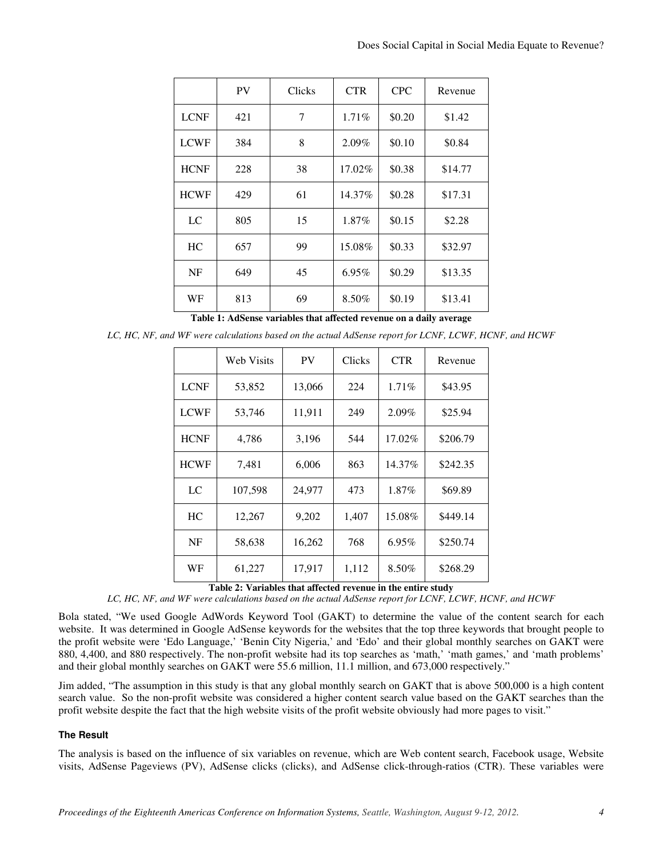|             | PV  | Clicks | <b>CTR</b> | <b>CPC</b> | Revenue |
|-------------|-----|--------|------------|------------|---------|
| <b>LCNF</b> | 421 | 7      | 1.71%      | \$0.20     | \$1.42  |
| <b>LCWF</b> | 384 | 8      | 2.09%      | \$0.10     | \$0.84  |
| <b>HCNF</b> | 228 | 38     | 17.02%     | \$0.38     | \$14.77 |
| <b>HCWF</b> | 429 | 61     | 14.37%     | \$0.28     | \$17.31 |
| LC          | 805 | 15     | 1.87%      | \$0.15     | \$2.28  |
| HC          | 657 | 99     | 15.08%     | \$0.33     | \$32.97 |
| NF          | 649 | 45     | $6.95\%$   | \$0.29     | \$13.35 |
| WF          | 813 | 69     | 8.50%      | \$0.19     | \$13.41 |

**Table 1: AdSense variables that affected revenue on a daily average** 

*LC, HC, NF, and WF were calculations based on the actual AdSense report for LCNF, LCWF, HCNF, and HCWF*

|             | Web Visits | <b>PV</b> | Clicks | <b>CTR</b> | Revenue  |
|-------------|------------|-----------|--------|------------|----------|
| <b>LCNF</b> | 53,852     | 13,066    | 224    | $1.71\%$   | \$43.95  |
| <b>LCWF</b> | 53,746     | 11,911    | 249    | 2.09%      | \$25.94  |
| <b>HCNF</b> | 4,786      | 3,196     | 544    | 17.02%     | \$206.79 |
| <b>HCWF</b> | 7,481      | 6,006     | 863    | 14.37%     | \$242.35 |
| LC          | 107,598    | 24,977    | 473    | 1.87%      | \$69.89  |
| HC          | 12,267     | 9,202     | 1,407  | 15.08%     | \$449.14 |
| NF          | 58,638     | 16,262    | 768    | 6.95%      | \$250.74 |
| WF          | 61,227     | 17,917    | 1,112  | 8.50%      | \$268.29 |

**Table 2: Variables that affected revenue in the entire study** 

*LC, HC, NF, and WF were calculations based on the actual AdSense report for LCNF, LCWF, HCNF, and HCWF*

Bola stated, "We used Google AdWords Keyword Tool (GAKT) to determine the value of the content search for each website. It was determined in Google AdSense keywords for the websites that the top three keywords that brought people to the profit website were 'Edo Language,' 'Benin City Nigeria,' and 'Edo' and their global monthly searches on GAKT were 880, 4,400, and 880 respectively. The non-profit website had its top searches as 'math,' 'math games,' and 'math problems' and their global monthly searches on GAKT were 55.6 million, 11.1 million, and 673,000 respectively."

Jim added, "The assumption in this study is that any global monthly search on GAKT that is above 500,000 is a high content search value. So the non-profit website was considered a higher content search value based on the GAKT searches than the profit website despite the fact that the high website visits of the profit website obviously had more pages to visit."

#### **The Result**

The analysis is based on the influence of six variables on revenue, which are Web content search, Facebook usage, Website visits, AdSense Pageviews (PV), AdSense clicks (clicks), and AdSense click-through-ratios (CTR). These variables were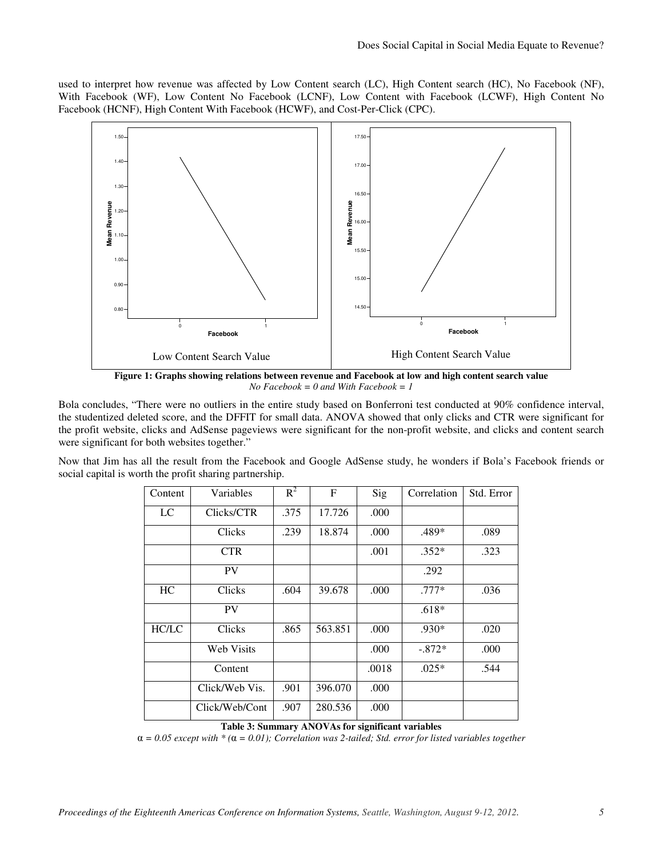used to interpret how revenue was affected by Low Content search (LC), High Content search (HC), No Facebook (NF), With Facebook (WF), Low Content No Facebook (LCNF), Low Content with Facebook (LCWF), High Content No Facebook (HCNF), High Content With Facebook (HCWF), and Cost-Per-Click (CPC).



**Figure 1: Graphs showing relations between revenue and Facebook at low and high content search value**  *No Facebook = 0 and With Facebook = 1* 

Bola concludes, "There were no outliers in the entire study based on Bonferroni test conducted at 90% confidence interval, the studentized deleted score, and the DFFIT for small data. ANOVA showed that only clicks and CTR were significant for the profit website, clicks and AdSense pageviews were significant for the non-profit website, and clicks and content search were significant for both websites together."

Now that Jim has all the result from the Facebook and Google AdSense study, he wonders if Bola's Facebook friends or social capital is worth the profit sharing partnership.

| Content      | Variables         | $R^2$ | $\mathbf{F}$ | Sig   | Correlation | Std. Error |
|--------------|-------------------|-------|--------------|-------|-------------|------------|
| LC           | Clicks/CTR        | .375  | 17.726       | .000  |             |            |
|              | Clicks            | .239  | 18.874       | .000  | .489*       | .089       |
|              | <b>CTR</b>        |       |              | .001  | $.352*$     | .323       |
|              | <b>PV</b>         |       |              |       | .292        |            |
| HC           | Clicks            | .604  | 39.678       | .000  | $.777*$     | .036       |
|              | <b>PV</b>         |       |              |       | $.618*$     |            |
| <b>HC/LC</b> | Clicks            | .865  | 563.851      | .000  | .930*       | .020       |
|              | <b>Web Visits</b> |       |              | .000  | $-.872*$    | .000       |
|              | Content           |       |              | .0018 | $.025*$     | .544       |
|              | Click/Web Vis.    | .901  | 396.070      | .000  |             |            |
|              | Click/Web/Cont    | .907  | 280.536      | .000  |             |            |

#### **Table 3: Summary ANOVAs for significant variables**

α *= 0.05 except with \* (*α *= 0.01); Correlation was 2-tailed; Std. error for listed variables together*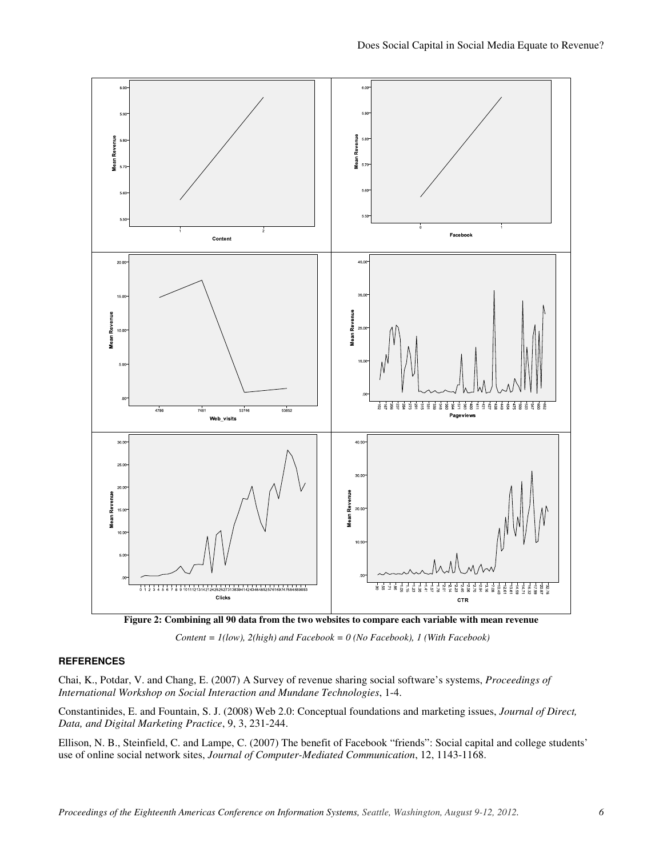

**Figure 2: Combining all 90 data from the two websites to compare each variable with mean revenue** 



#### **REFERENCES**

Chai, K., Potdar, V. and Chang, E. (2007) A Survey of revenue sharing social software's systems, *Proceedings of International Workshop on Social Interaction and Mundane Technologies*, 1-4.

Constantinides, E. and Fountain, S. J. (2008) Web 2.0: Conceptual foundations and marketing issues, *Journal of Direct, Data, and Digital Marketing Practice*, 9, 3, 231-244.

Ellison, N. B., Steinfield, C. and Lampe, C. (2007) The benefit of Facebook "friends": Social capital and college students' use of online social network sites, *Journal of Computer-Mediated Communication*, 12, 1143-1168.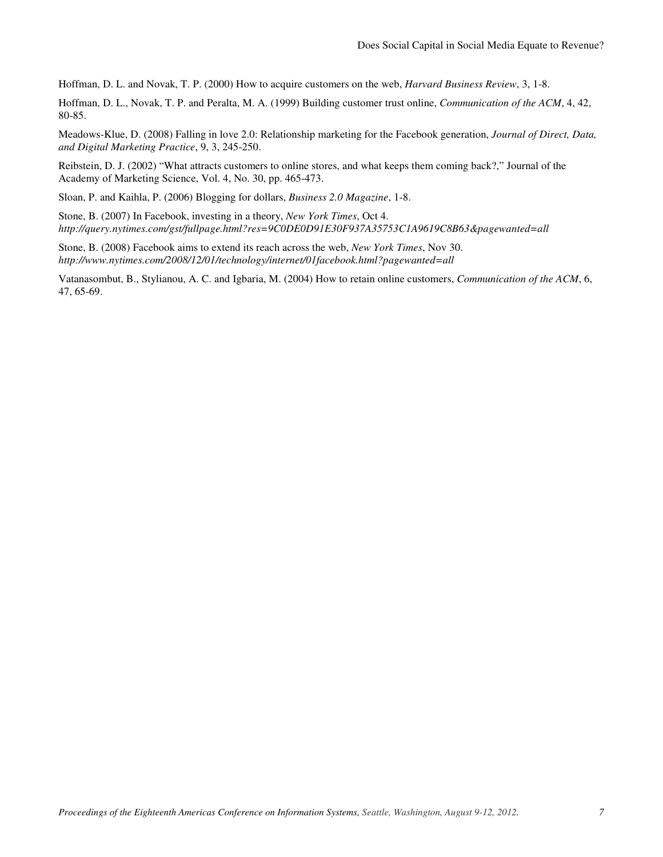Hoffman, D. L. and Novak, T. P. (2000) How to acquire customers on the web, *Harvard Business Review*, 3, 1-8.

Hoffman, D. L., Novak, T. P. and Peralta, M. A. (1999) Building customer trust online, *Communication of the ACM*, 4, 42, 80-85.

Meadows-Klue, D. (2008) Falling in love 2.0: Relationship marketing for the Facebook generation, *Journal of Direct, Data, and Digital Marketing Practice*, 9, 3, 245-250.

Reibstein, D. J. (2002) "What attracts customers to online stores, and what keeps them coming back?," Journal of the Academy of Marketing Science, Vol. 4, No. 30, pp. 465-473.

Sloan, P. and Kaihla, P. (2006) Blogging for dollars, *Business 2.0 Magazine*, 1-8.

Stone, B. (2007) In Facebook, investing in a theory, *New York Times*, Oct 4. *http://query.nytimes.com/gst/fullpage.html?res=9C0DE0D91E30F937A35753C1A9619C8B63&pagewanted=all*

Stone, B. (2008) Facebook aims to extend its reach across the web, *New York Times*, Nov 30. *http://www.nytimes.com/2008/12/01/technology/internet/01facebook.html?pagewanted=all*

Vatanasombut, B., Stylianou, A. C. and Igbaria, M. (2004) How to retain online customers, *Communication of the ACM*, 6, 47, 65-69.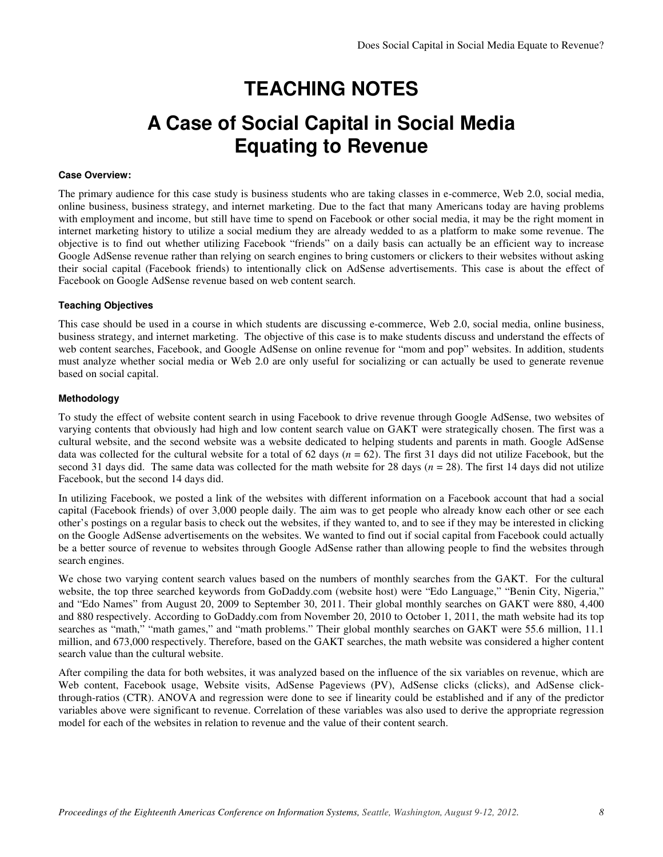## **TEACHING NOTES**

### **A Case of Social Capital in Social Media Equating to Revenue**

#### **Case Overview:**

The primary audience for this case study is business students who are taking classes in e-commerce, Web 2.0, social media, online business, business strategy, and internet marketing. Due to the fact that many Americans today are having problems with employment and income, but still have time to spend on Facebook or other social media, it may be the right moment in internet marketing history to utilize a social medium they are already wedded to as a platform to make some revenue. The objective is to find out whether utilizing Facebook "friends" on a daily basis can actually be an efficient way to increase Google AdSense revenue rather than relying on search engines to bring customers or clickers to their websites without asking their social capital (Facebook friends) to intentionally click on AdSense advertisements. This case is about the effect of Facebook on Google AdSense revenue based on web content search.

#### **Teaching Objectives**

This case should be used in a course in which students are discussing e-commerce, Web 2.0, social media, online business, business strategy, and internet marketing. The objective of this case is to make students discuss and understand the effects of web content searches, Facebook, and Google AdSense on online revenue for "mom and pop" websites. In addition, students must analyze whether social media or Web 2.0 are only useful for socializing or can actually be used to generate revenue based on social capital.

#### **Methodology**

To study the effect of website content search in using Facebook to drive revenue through Google AdSense, two websites of varying contents that obviously had high and low content search value on GAKT were strategically chosen. The first was a cultural website, and the second website was a website dedicated to helping students and parents in math. Google AdSense data was collected for the cultural website for a total of 62 days (*n* = 62). The first 31 days did not utilize Facebook, but the second 31 days did. The same data was collected for the math website for 28 days ( $n = 28$ ). The first 14 days did not utilize Facebook, but the second 14 days did.

In utilizing Facebook, we posted a link of the websites with different information on a Facebook account that had a social capital (Facebook friends) of over 3,000 people daily. The aim was to get people who already know each other or see each other's postings on a regular basis to check out the websites, if they wanted to, and to see if they may be interested in clicking on the Google AdSense advertisements on the websites. We wanted to find out if social capital from Facebook could actually be a better source of revenue to websites through Google AdSense rather than allowing people to find the websites through search engines.

We chose two varying content search values based on the numbers of monthly searches from the GAKT. For the cultural website, the top three searched keywords from GoDaddy.com (website host) were "Edo Language," "Benin City, Nigeria," and "Edo Names" from August 20, 2009 to September 30, 2011. Their global monthly searches on GAKT were 880, 4,400 and 880 respectively. According to GoDaddy.com from November 20, 2010 to October 1, 2011, the math website had its top searches as "math," "math games," and "math problems." Their global monthly searches on GAKT were 55.6 million, 11.1 million, and 673,000 respectively. Therefore, based on the GAKT searches, the math website was considered a higher content search value than the cultural website.

After compiling the data for both websites, it was analyzed based on the influence of the six variables on revenue, which are Web content, Facebook usage, Website visits, AdSense Pageviews (PV), AdSense clicks (clicks), and AdSense clickthrough-ratios (CTR). ANOVA and regression were done to see if linearity could be established and if any of the predictor variables above were significant to revenue. Correlation of these variables was also used to derive the appropriate regression model for each of the websites in relation to revenue and the value of their content search.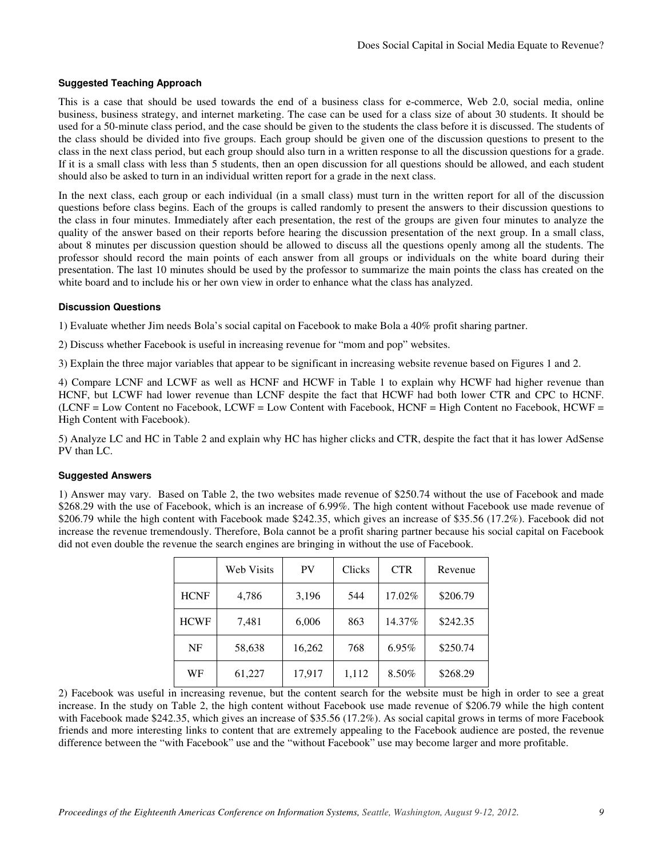#### **Suggested Teaching Approach**

This is a case that should be used towards the end of a business class for e-commerce, Web 2.0, social media, online business, business strategy, and internet marketing. The case can be used for a class size of about 30 students. It should be used for a 50-minute class period, and the case should be given to the students the class before it is discussed. The students of the class should be divided into five groups. Each group should be given one of the discussion questions to present to the class in the next class period, but each group should also turn in a written response to all the discussion questions for a grade. If it is a small class with less than 5 students, then an open discussion for all questions should be allowed, and each student should also be asked to turn in an individual written report for a grade in the next class.

In the next class, each group or each individual (in a small class) must turn in the written report for all of the discussion questions before class begins. Each of the groups is called randomly to present the answers to their discussion questions to the class in four minutes. Immediately after each presentation, the rest of the groups are given four minutes to analyze the quality of the answer based on their reports before hearing the discussion presentation of the next group. In a small class, about 8 minutes per discussion question should be allowed to discuss all the questions openly among all the students. The professor should record the main points of each answer from all groups or individuals on the white board during their presentation. The last 10 minutes should be used by the professor to summarize the main points the class has created on the white board and to include his or her own view in order to enhance what the class has analyzed.

#### **Discussion Questions**

1) Evaluate whether Jim needs Bola's social capital on Facebook to make Bola a 40% profit sharing partner.

2) Discuss whether Facebook is useful in increasing revenue for "mom and pop" websites.

3) Explain the three major variables that appear to be significant in increasing website revenue based on Figures 1 and 2.

4) Compare LCNF and LCWF as well as HCNF and HCWF in Table 1 to explain why HCWF had higher revenue than HCNF, but LCWF had lower revenue than LCNF despite the fact that HCWF had both lower CTR and CPC to HCNF. (LCNF = Low Content no Facebook, LCWF = Low Content with Facebook, HCNF = High Content no Facebook, HCWF = High Content with Facebook).

5) Analyze LC and HC in Table 2 and explain why HC has higher clicks and CTR, despite the fact that it has lower AdSense PV than LC.

#### **Suggested Answers**

1) Answer may vary. Based on Table 2, the two websites made revenue of \$250.74 without the use of Facebook and made \$268.29 with the use of Facebook, which is an increase of 6.99%. The high content without Facebook use made revenue of \$206.79 while the high content with Facebook made \$242.35, which gives an increase of \$35.56 (17.2%). Facebook did not increase the revenue tremendously. Therefore, Bola cannot be a profit sharing partner because his social capital on Facebook did not even double the revenue the search engines are bringing in without the use of Facebook.

|             | <b>Web Visits</b> | PV     | <b>Clicks</b> | <b>CTR</b> | Revenue  |
|-------------|-------------------|--------|---------------|------------|----------|
| <b>HCNF</b> | 4,786             | 3,196  | 544           | 17.02%     | \$206.79 |
| <b>HCWF</b> | 7,481             | 6,006  | 863           | 14.37%     | \$242.35 |
| NF          | 58,638            | 16,262 | 768           | 6.95%      | \$250.74 |
| WF          | 61,227            | 17,917 | 1,112         | 8.50%      | \$268.29 |

2) Facebook was useful in increasing revenue, but the content search for the website must be high in order to see a great increase. In the study on Table 2, the high content without Facebook use made revenue of \$206.79 while the high content with Facebook made \$242.35, which gives an increase of \$35.56 (17.2%). As social capital grows in terms of more Facebook friends and more interesting links to content that are extremely appealing to the Facebook audience are posted, the revenue difference between the "with Facebook" use and the "without Facebook" use may become larger and more profitable.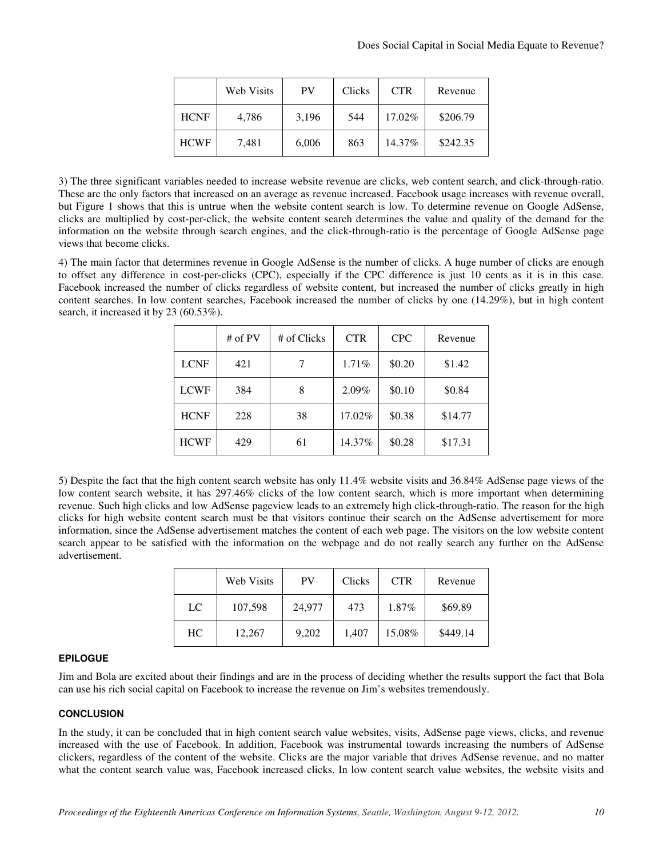|             | <b>Web Visits</b> | <b>PV</b> | Clicks | <b>CTR</b> | Revenue  |
|-------------|-------------------|-----------|--------|------------|----------|
| <b>HCNF</b> | 4,786             | 3,196     | 544    | 17.02%     | \$206.79 |
| <b>HCWF</b> | 7,481             | 6,006     | 863    | 14.37%     | \$242.35 |

3) The three significant variables needed to increase website revenue are clicks, web content search, and click-through-ratio. These are the only factors that increased on an average as revenue increased. Facebook usage increases with revenue overall, but Figure 1 shows that this is untrue when the website content search is low. To determine revenue on Google AdSense, clicks are multiplied by cost-per-click, the website content search determines the value and quality of the demand for the information on the website through search engines, and the click-through-ratio is the percentage of Google AdSense page views that become clicks.

4) The main factor that determines revenue in Google AdSense is the number of clicks. A huge number of clicks are enough to offset any difference in cost-per-clicks (CPC), especially if the CPC difference is just 10 cents as it is in this case. Facebook increased the number of clicks regardless of website content, but increased the number of clicks greatly in high content searches. In low content searches, Facebook increased the number of clicks by one (14.29%), but in high content search, it increased it by 23 (60.53%).

|             | # of $PV$ | # of Clicks | <b>CTR</b> | <b>CPC</b> | Revenue |
|-------------|-----------|-------------|------------|------------|---------|
| <b>LCNF</b> | 421       |             | 1.71%      | \$0.20     | \$1.42  |
| <b>LCWF</b> | 384       | 8           | 2.09%      | \$0.10     | \$0.84  |
| <b>HCNF</b> | 228       | 38          | 17.02%     | \$0.38     | \$14.77 |
| <b>HCWF</b> | 429       | 61          | 14.37%     | \$0.28     | \$17.31 |

5) Despite the fact that the high content search website has only 11.4% website visits and 36.84% AdSense page views of the low content search website, it has 297.46% clicks of the low content search, which is more important when determining revenue. Such high clicks and low AdSense pageview leads to an extremely high click-through-ratio. The reason for the high clicks for high website content search must be that visitors continue their search on the AdSense advertisement for more information, since the AdSense advertisement matches the content of each web page. The visitors on the low website content search appear to be satisfied with the information on the webpage and do not really search any further on the AdSense advertisement.

|             | <b>Web Visits</b> | <b>PV</b> | Clicks | <b>CTR</b> | Revenue  |
|-------------|-------------------|-----------|--------|------------|----------|
| $_{\rm LC}$ | 107,598           | 24,977    | 473    | 1.87%      | \$69.89  |
| HC.         | 12,267            | 9,202     | 1,407  | 15.08%     | \$449.14 |

#### **EPILOGUE**

Jim and Bola are excited about their findings and are in the process of deciding whether the results support the fact that Bola can use his rich social capital on Facebook to increase the revenue on Jim's websites tremendously.

#### **CONCLUSION**

In the study, it can be concluded that in high content search value websites, visits, AdSense page views, clicks, and revenue increased with the use of Facebook. In addition, Facebook was instrumental towards increasing the numbers of AdSense clickers, regardless of the content of the website. Clicks are the major variable that drives AdSense revenue, and no matter what the content search value was, Facebook increased clicks. In low content search value websites, the website visits and